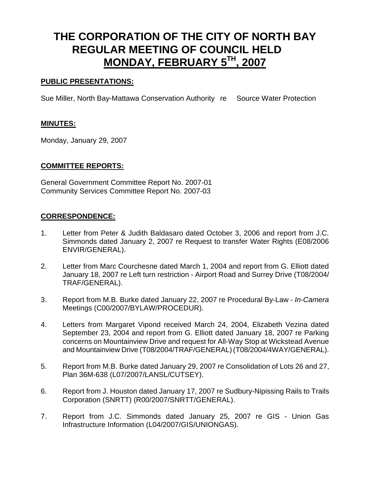# **THE CORPORATION OF THE CITY OF NORTH BAY REGULAR MEETING OF COUNCIL HELD MONDAY, FEBRUARY 5TH, 2007**

# **PUBLIC PRESENTATIONS:**

Sue Miller, North Bay-Mattawa Conservation Authority re Source Water Protection

# **MINUTES:**

Monday, January 29, 2007

# **COMMITTEE REPORTS:**

General Government Committee Report No. 2007-01 Community Services Committee Report No. 2007-03

# **CORRESPONDENCE:**

- 1. Letter from Peter & Judith Baldasaro dated October 3, 2006 and report from J.C. Simmonds dated January 2, 2007 re Request to transfer Water Rights (E08/2006 ENVIR/GENERAL).
- 2. Letter from Marc Courchesne dated March 1, 2004 and report from G. Elliott dated January 18, 2007 re Left turn restriction - Airport Road and Surrey Drive (T08/2004/ TRAF/GENERAL).
- 3. Report from M.B. Burke dated January 22, 2007 re Procedural By-Law *In-Camera* Meetings (C00/2007/BYLAW/PROCEDUR).
- 4. Letters from Margaret Vipond received March 24, 2004, Elizabeth Vezina dated September 23, 2004 and report from G. Elliott dated January 18, 2007 re Parking concerns on Mountainview Drive and request for All-Way Stop at Wickstead Avenue and Mountainview Drive (T08/2004/TRAF/GENERAL) (T08/2004/4WAY/GENERAL).
- 5. Report from M.B. Burke dated January 29, 2007 re Consolidation of Lots 26 and 27, Plan 36M-638 (L07/2007/LANSL/CUTSEY).
- 6. Report from J. Houston dated January 17, 2007 re Sudbury-Nipissing Rails to Trails Corporation (SNRTT) (R00/2007/SNRTT/GENERAL).
- 7. Report from J.C. Simmonds dated January 25, 2007 re GIS Union Gas Infrastructure Information (L04/2007/GIS/UNIONGAS).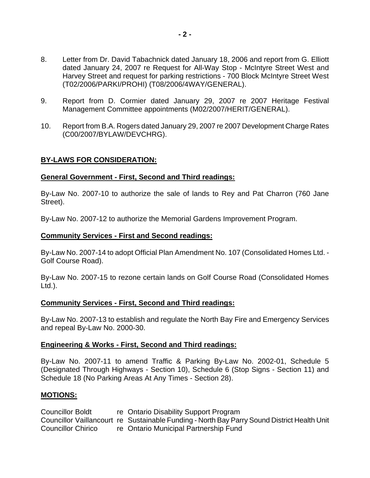- 8. Letter from Dr. David Tabachnick dated January 18, 2006 and report from G. Elliott dated January 24, 2007 re Request for All-Way Stop - McIntyre Street West and Harvey Street and request for parking restrictions - 700 Block McIntyre Street West (T02/2006/PARKI/PROHI) (T08/2006/4WAY/GENERAL).
- 9. Report from D. Cormier dated January 29, 2007 re 2007 Heritage Festival Management Committee appointments (M02/2007/HERIT/GENERAL).
- 10. Report from B.A. Rogers dated January 29, 2007 re 2007 Development Charge Rates (C00/2007/BYLAW/DEVCHRG).

#### **BY-LAWS FOR CONSIDERATION:**

#### **General Government - First, Second and Third readings:**

By-Law No. 2007-10 to authorize the sale of lands to Rey and Pat Charron (760 Jane Street).

By-Law No. 2007-12 to authorize the Memorial Gardens Improvement Program.

#### **Community Services - First and Second readings:**

By-Law No. 2007-14 to adopt Official Plan Amendment No. 107 (Consolidated Homes Ltd. - Golf Course Road).

By-Law No. 2007-15 to rezone certain lands on Golf Course Road (Consolidated Homes Ltd.).

#### **Community Services - First, Second and Third readings:**

By-Law No. 2007-13 to establish and regulate the North Bay Fire and Emergency Services and repeal By-Law No. 2000-30.

#### **Engineering & Works - First, Second and Third readings:**

By-Law No. 2007-11 to amend Traffic & Parking By-Law No. 2002-01, Schedule 5 (Designated Through Highways - Section 10), Schedule 6 (Stop Signs - Section 11) and Schedule 18 (No Parking Areas At Any Times - Section 28).

# **MOTIONS:**

Councillor Boldt re Ontario Disability Support Program Councillor Vaillancourt re Sustainable Funding - North Bay Parry Sound District Health Unit Councillor Chirico re Ontario Municipal Partnership Fund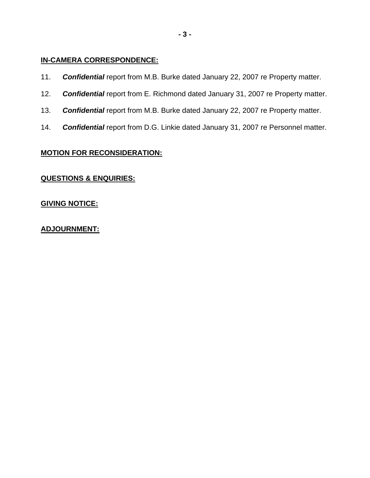# **IN-CAMERA CORRESPONDENCE:**

- 11. *Confidential* report from M.B. Burke dated January 22, 2007 re Property matter.
- 12. *Confidential* report from E. Richmond dated January 31, 2007 re Property matter.
- 13. *Confidential* report from M.B. Burke dated January 22, 2007 re Property matter.
- 14. *Confidential* report from D.G. Linkie dated January 31, 2007 re Personnel matter.

# **MOTION FOR RECONSIDERATION:**

# **QUESTIONS & ENQUIRIES:**

# **GIVING NOTICE:**

# **ADJOURNMENT:**